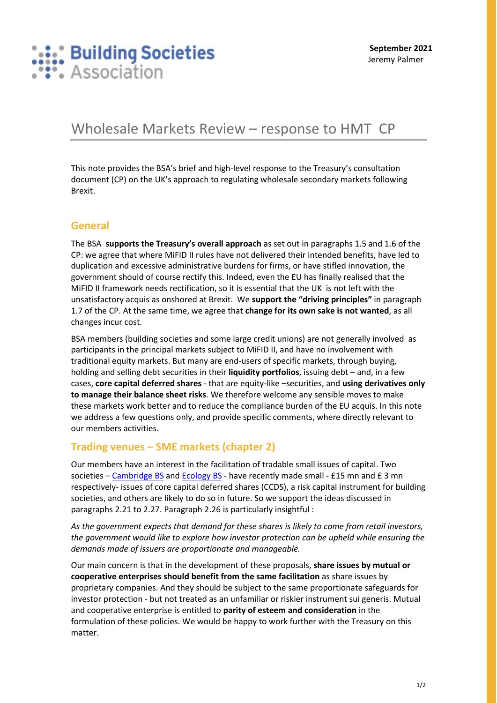

# Wholesale Markets Review – response to HMT CP

This note provides the BSA's brief and high-level response to the Treasury's consultation document (CP) on the UK's approach to regulating wholesale secondary markets following Brexit.

#### **General**

The BSA **supports the Treasury's overall approach** as set out in paragraphs 1.5 and 1.6 of the CP: we agree that where MiFID II rules have not delivered their intended benefits, have led to duplication and excessive administrative burdens for firms, or have stifled innovation, the government should of course rectify this. Indeed, even the EU has finally realised that the MiFID II framework needs rectification, so it is essential that the UK is not left with the unsatisfactory acquis as onshored at Brexit. We **support the "driving principles"** in paragraph 1.7 of the CP. At the same time, we agree that **change for its own sake is not wanted**, as all changes incur cost.

BSA members (building societies and some large credit unions) are not generally involved as participants in the principal markets subject to MiFID II, and have no involvement with traditional equity markets. But many are end-users of specific markets, through buying, holding and selling debt securities in their **liquidity portfolios**, issuing debt – and, in a few cases, **core capital deferred shares** - that are equity-like –securities, and **using derivatives only to manage their balance sheet risks**. We therefore welcome any sensible moves to make these markets work better and to reduce the compliance burden of the EU acquis. In this note we address a few questions only, and provide specific comments, where directly relevant to our members activities.

#### **Trading venues – SME markets (chapter 2)**

Our members have an interest in the facilitation of tradable small issues of capital. Two societies - [Cambridge BS](https://www.cambridgebs.co.uk/more/news-and-events/news/innovative-partnership) and [Ecology BS](https://www.ecology.co.uk/hub/ecology-accelerates-its-mission-to-build-a-greener-society/) - have recently made small - £15 mn and £ 3 mn respectively- issues of core capital deferred shares (CCDS), a risk capital instrument for building societies, and others are likely to do so in future. So we support the ideas discussed in paragraphs 2.21 to 2.27. Paragraph 2.26 is particularly insightful :

*As the government expects that demand for these shares is likely to come from retail investors, the government would like to explore how investor protection can be upheld while ensuring the demands made of issuers are proportionate and manageable.* 

Our main concern is that in the development of these proposals, **share issues by mutual or cooperative enterprises should benefit from the same facilitation** as share issues by proprietary companies. And they should be subject to the same proportionate safeguards for investor protection - but not treated as an unfamiliar or riskier instrument sui generis. Mutual and cooperative enterprise is entitled to **parity of esteem and consideration** in the formulation of these policies. We would be happy to work further with the Treasury on this matter.